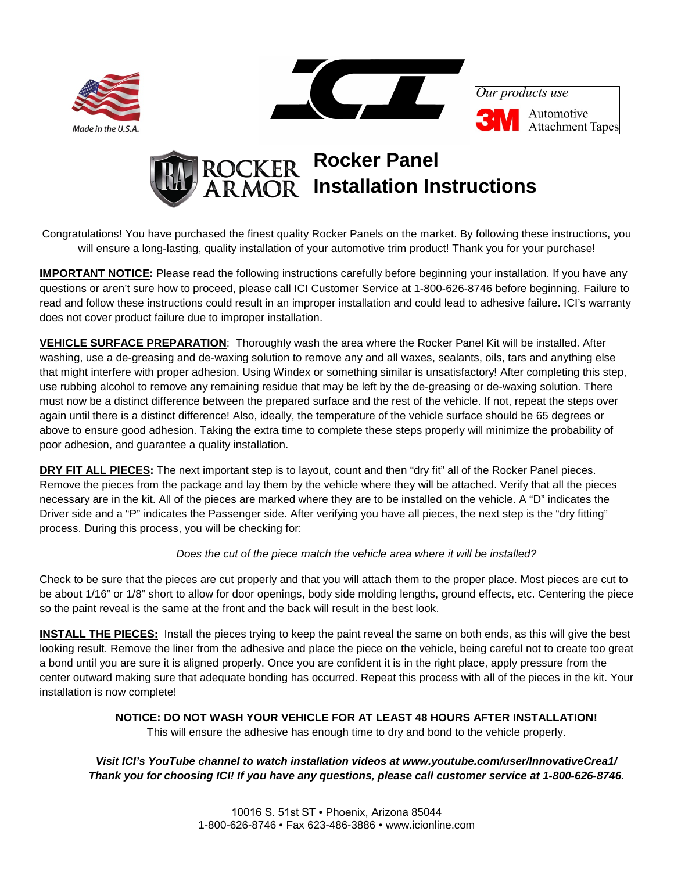



Our products use Automotive **Attachment Tapes** 



Congratulations! You have purchased the finest quality Rocker Panels on the market. By following these instructions, you will ensure a long-lasting, quality installation of your automotive trim product! Thank you for your purchase!

**IMPORTANT NOTICE:** Please read the following instructions carefully before beginning your installation. If you have any questions or aren't sure how to proceed, please call ICI Customer Service at 1-800-626-8746 before beginning. Failure to read and follow these instructions could result in an improper installation and could lead to adhesive failure. ICI's warranty does not cover product failure due to improper installation.

**VEHICLE SURFACE PREPARATION**: Thoroughly wash the area where the Rocker Panel Kit will be installed. After washing, use a de-greasing and de-waxing solution to remove any and all waxes, sealants, oils, tars and anything else that might interfere with proper adhesion. Using Windex or something similar is unsatisfactory! After completing this step, use rubbing alcohol to remove any remaining residue that may be left by the de-greasing or de-waxing solution. There must now be a distinct difference between the prepared surface and the rest of the vehicle. If not, repeat the steps over again until there is a distinct difference! Also, ideally, the temperature of the vehicle surface should be 65 degrees or above to ensure good adhesion. Taking the extra time to complete these steps properly will minimize the probability of poor adhesion, and guarantee a quality installation.

**DRY FIT ALL PIECES:** The next important step is to layout, count and then "dry fit" all of the Rocker Panel pieces. Remove the pieces from the package and lay them by the vehicle where they will be attached. Verify that all the pieces necessary are in the kit. All of the pieces are marked where they are to be installed on the vehicle. A "D" indicates the Driver side and a "P" indicates the Passenger side. After verifying you have all pieces, the next step is the "dry fitting" process. During this process, you will be checking for:

## *Does the cut of the piece match the vehicle area where it will be installed?*

Check to be sure that the pieces are cut properly and that you will attach them to the proper place. Most pieces are cut to be about 1/16" or 1/8" short to allow for door openings, body side molding lengths, ground effects, etc. Centering the piece so the paint reveal is the same at the front and the back will result in the best look.

**INSTALL THE PIECES:** Install the pieces trying to keep the paint reveal the same on both ends, as this will give the best looking result. Remove the liner from the adhesive and place the piece on the vehicle, being careful not to create too great a bond until you are sure it is aligned properly. Once you are confident it is in the right place, apply pressure from the center outward making sure that adequate bonding has occurred. Repeat this process with all of the pieces in the kit. Your installation is now complete!

**NOTICE: DO NOT WASH YOUR VEHICLE FOR AT LEAST 48 HOURS AFTER INSTALLATION!**

This will ensure the adhesive has enough time to dry and bond to the vehicle properly.

## *Visit ICI's YouTube channel to watch installation videos at www.youtube.com/user/InnovativeCrea1/ Thank you for choosing ICI! If you have any questions, please call customer service at 1-800-626-8746.*